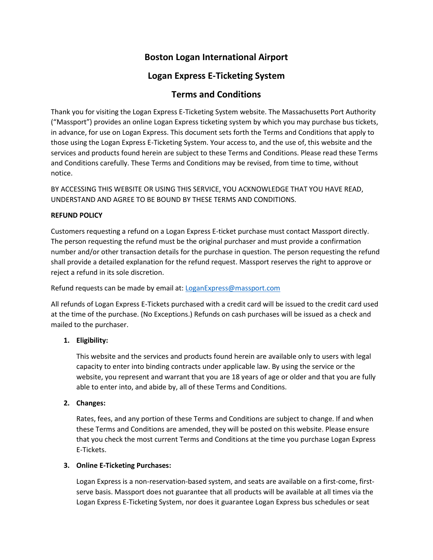# **Boston Logan International Airport**

## **Logan Express E-Ticketing System**

## **Terms and Conditions**

Thank you for visiting the Logan Express E-Ticketing System website. The Massachusetts Port Authority ("Massport") provides an online Logan Express ticketing system by which you may purchase bus tickets, in advance, for use on Logan Express. This document sets forth the Terms and Conditions that apply to those using the Logan Express E-Ticketing System. Your access to, and the use of, this website and the services and products found herein are subject to these Terms and Conditions. Please read these Terms and Conditions carefully. These Terms and Conditions may be revised, from time to time, without notice.

BY ACCESSING THIS WEBSITE OR USING THIS SERVICE, YOU ACKNOWLEDGE THAT YOU HAVE READ, UNDERSTAND AND AGREE TO BE BOUND BY THESE TERMS AND CONDITIONS.

#### **REFUND POLICY**

Customers requesting a refund on a Logan Express E-ticket purchase must contact Massport directly. The person requesting the refund must be the original purchaser and must provide a confirmation number and/or other transaction details for the purchase in question. The person requesting the refund shall provide a detailed explanation for the refund request. Massport reserves the right to approve or reject a refund in its sole discretion.

Refund requests can be made by email at: [LoganExpress@massport.com](mailto:LoganExpress@massport.com)

All refunds of Logan Express E-Tickets purchased with a credit card will be issued to the credit card used at the time of the purchase. (No Exceptions.) Refunds on cash purchases will be issued as a check and mailed to the purchaser.

### **1. Eligibility:**

This website and the services and products found herein are available only to users with legal capacity to enter into binding contracts under applicable law. By using the service or the website, you represent and warrant that you are 18 years of age or older and that you are fully able to enter into, and abide by, all of these Terms and Conditions.

### **2. Changes:**

Rates, fees, and any portion of these Terms and Conditions are subject to change. If and when these Terms and Conditions are amended, they will be posted on this website. Please ensure that you check the most current Terms and Conditions at the time you purchase Logan Express E-Tickets.

#### **3. Online E-Ticketing Purchases:**

Logan Express is a non-reservation-based system, and seats are available on a first-come, firstserve basis. Massport does not guarantee that all products will be available at all times via the Logan Express E-Ticketing System, nor does it guarantee Logan Express bus schedules or seat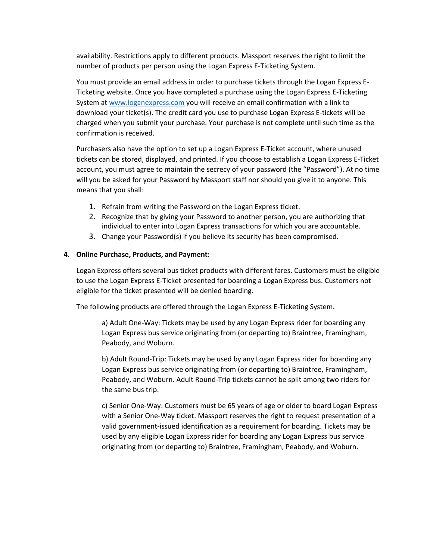availability. Restrictions apply to different products. Massport reserves the right to limit the number of products per person using the Logan Express E-Ticketing System.

You must provide an email address in order to purchase tickets through the Logan Express E-Ticketing website. Once you have completed a purchase using the Logan Express E-Ticketing System at [www.loganexpress.com](http://www.loganexpress.com/) you will receive an email confirmation with a link to download your ticket(s). The credit card you use to purchase Logan Express E-tickets will be charged when you submit your purchase. Your purchase is not complete until such time as the confirmation is received.

Purchasers also have the option to set up a Logan Express E-Ticket account, where unused tickets can be stored, displayed, and printed. If you choose to establish a Logan Express E-Ticket account, you must agree to maintain the secrecy of your password (the "Password"). At no time will you be asked for your Password by Massport staff nor should you give it to anyone. This means that you shall:

- 1. Refrain from writing the Password on the Logan Express ticket.
- 2. Recognize that by giving your Password to another person, you are authorizing that individual to enter into Logan Express transactions for which you are accountable.
- 3. Change your Password(s) if you believe its security has been compromised.

#### **4. Online Purchase, Products, and Payment:**

Logan Express offers several bus ticket products with different fares. Customers must be eligible to use the Logan Express E-Ticket presented for boarding a Logan Express bus. Customers not eligible for the ticket presented will be denied boarding.

The following products are offered through the Logan Express E-Ticketing System.

a) Adult One-Way: Tickets may be used by any Logan Express rider for boarding any Logan Express bus service originating from (or departing to) Braintree, Framingham, Peabody, and Woburn.

b) Adult Round-Trip: Tickets may be used by any Logan Express rider for boarding any Logan Express bus service originating from (or departing to) Braintree, Framingham, Peabody, and Woburn. Adult Round-Trip tickets cannot be split among two riders for the same bus trip.

c) Senior One-Way: Customers must be 65 years of age or older to board Logan Express with a Senior One-Way ticket. Massport reserves the right to request presentation of a valid government-issued identification as a requirement for boarding. Tickets may be used by any eligible Logan Express rider for boarding any Logan Express bus service originating from (or departing to) Braintree, Framingham, Peabody, and Woburn.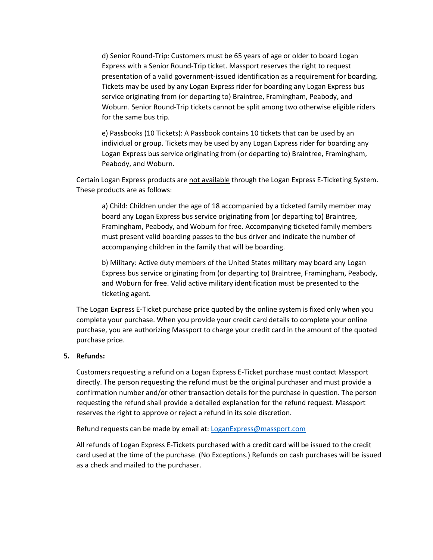d) Senior Round-Trip: Customers must be 65 years of age or older to board Logan Express with a Senior Round-Trip ticket. Massport reserves the right to request presentation of a valid government-issued identification as a requirement for boarding. Tickets may be used by any Logan Express rider for boarding any Logan Express bus service originating from (or departing to) Braintree, Framingham, Peabody, and Woburn. Senior Round-Trip tickets cannot be split among two otherwise eligible riders for the same bus trip.

e) Passbooks (10 Tickets): A Passbook contains 10 tickets that can be used by an individual or group. Tickets may be used by any Logan Express rider for boarding any Logan Express bus service originating from (or departing to) Braintree, Framingham, Peabody, and Woburn.

Certain Logan Express products are not available through the Logan Express E-Ticketing System. These products are as follows:

a) Child: Children under the age of 18 accompanied by a ticketed family member may board any Logan Express bus service originating from (or departing to) Braintree, Framingham, Peabody, and Woburn for free. Accompanying ticketed family members must present valid boarding passes to the bus driver and indicate the number of accompanying children in the family that will be boarding.

b) Military: Active duty members of the United States military may board any Logan Express bus service originating from (or departing to) Braintree, Framingham, Peabody, and Woburn for free. Valid active military identification must be presented to the ticketing agent.

The Logan Express E-Ticket purchase price quoted by the online system is fixed only when you complete your purchase. When you provide your credit card details to complete your online purchase, you are authorizing Massport to charge your credit card in the amount of the quoted purchase price.

#### **5. Refunds:**

Customers requesting a refund on a Logan Express E-Ticket purchase must contact Massport directly. The person requesting the refund must be the original purchaser and must provide a confirmation number and/or other transaction details for the purchase in question. The person requesting the refund shall provide a detailed explanation for the refund request. Massport reserves the right to approve or reject a refund in its sole discretion.

Refund requests can be made by email at: [LoganExpress@massport.com](mailto:LoganExpress@massport.com)

All refunds of Logan Express E-Tickets purchased with a credit card will be issued to the credit card used at the time of the purchase. (No Exceptions.) Refunds on cash purchases will be issued as a check and mailed to the purchaser.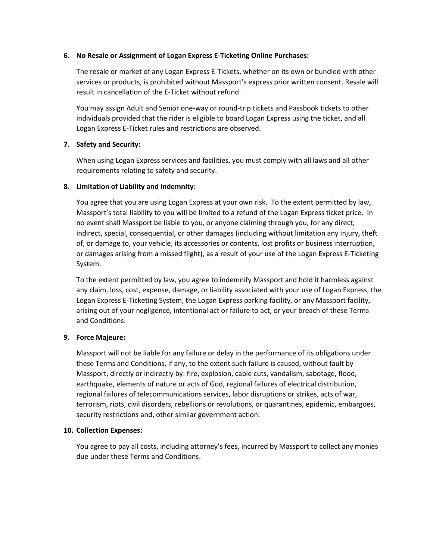#### **6. No Resale or Assignment of Logan Express E-Ticketing Online Purchases:**

The resale or market of any Logan Express E-Tickets, whether on its own or bundled with other services or products, is prohibited without Massport's express prior written consent. Resale will result in cancellation of the E-Ticket without refund.

You may assign Adult and Senior one-way or round-trip tickets and Passbook tickets to other individuals provided that the rider is eligible to board Logan Express using the ticket, and all Logan Express E-Ticket rules and restrictions are observed.

#### **7. Safety and Security:**

When using Logan Express services and facilities, you must comply with all laws and all other requirements relating to safety and security.

#### **8. Limitation of Liability and Indemnity:**

You agree that you are using Logan Express at your own risk. To the extent permitted by law, Massport's total liability to you will be limited to a refund of the Logan Express ticket price. In no event shall Massport be liable to you, or anyone claiming through you, for any direct, indirect, special, consequential, or other damages (including without limitation any injury, theft of, or damage to, your vehicle, its accessories or contents, lost profits or business interruption, or damages arising from a missed flight), as a result of your use of the Logan Express E-Ticketing System.

To the extent permitted by law, you agree to indemnify Massport and hold it harmless against any claim, loss, cost, expense, damage, or liability associated with your use of Logan Express, the Logan Express E-Ticketing System, the Logan Express parking facility, or any Massport facility, arising out of your negligence, intentional act or failure to act, or your breach of these Terms and Conditions.

#### **9. Force Majeure:**

Massport will not be liable for any failure or delay in the performance of its obligations under these Terms and Conditions, if any, to the extent such failure is caused, without fault by Massport, directly or indirectly by: fire, explosion, cable cuts, vandalism, sabotage, flood, earthquake, elements of nature or acts of God, regional failures of electrical distribution, regional failures of telecommunications services, labor disruptions or strikes, acts of war, terrorism, riots, civil disorders, rebellions or revolutions, or quarantines, epidemic, embargoes, security restrictions and, other similar government action.

#### **10. Collection Expenses:**

You agree to pay all costs, including attorney's fees, incurred by Massport to collect any monies due under these Terms and Conditions.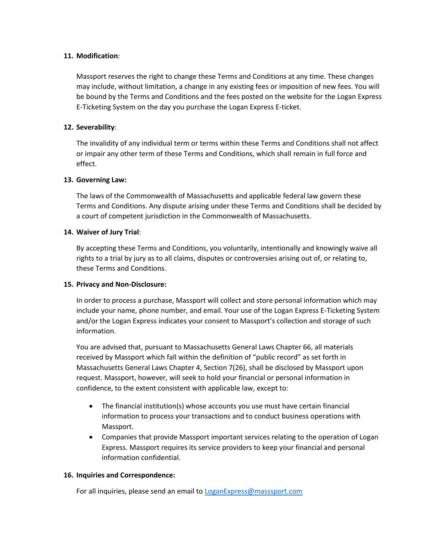#### **11. Modification**:

Massport reserves the right to change these Terms and Conditions at any time. These changes may include, without limitation, a change in any existing fees or imposition of new fees. You will be bound by the Terms and Conditions and the fees posted on the website for the Logan Express E-Ticketing System on the day you purchase the Logan Express E-ticket.

#### **12. Severability**:

The invalidity of any individual term or terms within these Terms and Conditions shall not affect or impair any other term of these Terms and Conditions, which shall remain in full force and effect.

#### **13. Governing Law:**

The laws of the Commonwealth of Massachusetts and applicable federal law govern these Terms and Conditions. Any dispute arising under these Terms and Conditions shall be decided by a court of competent jurisdiction in the Commonwealth of Massachusetts.

#### **14. Waiver of Jury Trial**:

By accepting these Terms and Conditions, you voluntarily, intentionally and knowingly waive all rights to a trial by jury as to all claims, disputes or controversies arising out of, or relating to, these Terms and Conditions.

#### **15. Privacy and Non-Disclosure:**

In order to process a purchase, Massport will collect and store personal information which may include your name, phone number, and email. Your use of the Logan Express E-Ticketing System and/or the Logan Express indicates your consent to Massport's collection and storage of such information.

You are advised that, pursuant to Massachusetts General Laws Chapter 66, all materials received by Massport which fall within the definition of "public record" as set forth in Massachusetts General Laws Chapter 4, Section 7(26), shall be disclosed by Massport upon request. Massport, however, will seek to hold your financial or personal information in confidence, to the extent consistent with applicable law, except to:

- The financial institution(s) whose accounts you use must have certain financial information to process your transactions and to conduct business operations with Massport.
- Companies that provide Massport important services relating to the operation of Logan Express. Massport requires its service providers to keep your financial and personal information confidential.

#### **16. Inquiries and Correspondence:**

For all inquiries, please send an email to **LoganExpress@masssport.com**